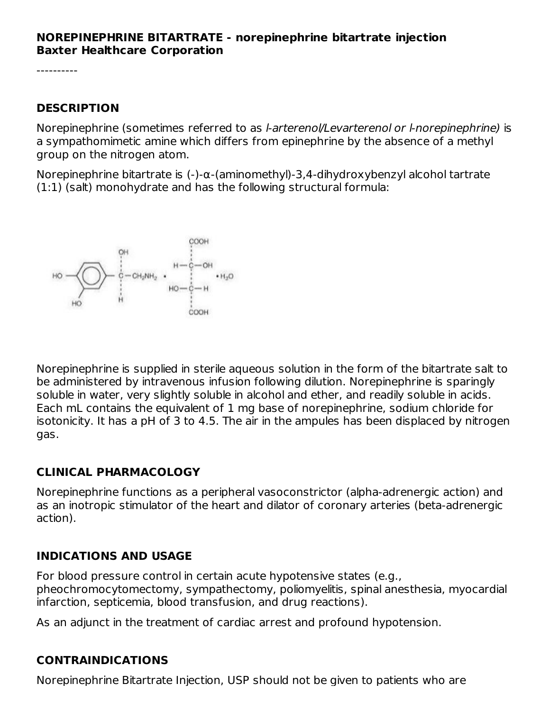#### **NOREPINEPHRINE BITARTRATE - norepinephrine bitartrate injection Baxter Healthcare Corporation**

#### **DESCRIPTION**

Norepinephrine (sometimes referred to as l-arterenol/Levarterenol or l-norepinephrine) is a sympathomimetic amine which differs from epinephrine by the absence of a methyl group on the nitrogen atom.

Norepinephrine bitartrate is (-)-α-(aminomethyl)-3,4-dihydroxybenzyl alcohol tartrate (1:1) (salt) monohydrate and has the following structural formula:



Norepinephrine is supplied in sterile aqueous solution in the form of the bitartrate salt to be administered by intravenous infusion following dilution. Norepinephrine is sparingly soluble in water, very slightly soluble in alcohol and ether, and readily soluble in acids. Each mL contains the equivalent of 1 mg base of norepinephrine, sodium chloride for isotonicity. It has a pH of 3 to 4.5. The air in the ampules has been displaced by nitrogen gas.

### **CLINICAL PHARMACOLOGY**

Norepinephrine functions as a peripheral vasoconstrictor (alpha-adrenergic action) and as an inotropic stimulator of the heart and dilator of coronary arteries (beta-adrenergic action).

#### **INDICATIONS AND USAGE**

For blood pressure control in certain acute hypotensive states (e.g., pheochromocytomectomy, sympathectomy, poliomyelitis, spinal anesthesia, myocardial infarction, septicemia, blood transfusion, and drug reactions).

As an adjunct in the treatment of cardiac arrest and profound hypotension.

### **CONTRAINDICATIONS**

Norepinephrine Bitartrate Injection, USP should not be given to patients who are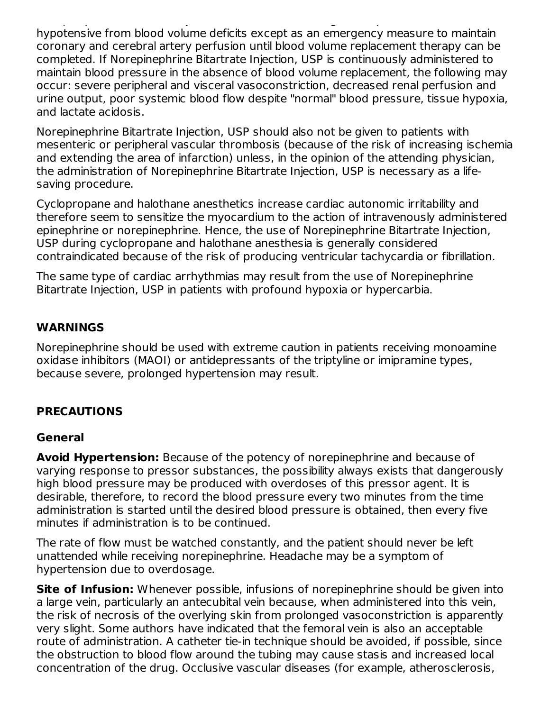Norepinephrine Bitartrate Injection, USP should not be given to patients who are hypotensive from blood volume deficits except as an emergency measure to maintain coronary and cerebral artery perfusion until blood volume replacement therapy can be completed. If Norepinephrine Bitartrate Injection, USP is continuously administered to maintain blood pressure in the absence of blood volume replacement, the following may occur: severe peripheral and visceral vasoconstriction, decreased renal perfusion and urine output, poor systemic blood flow despite "normal" blood pressure, tissue hypoxia, and lactate acidosis.

Norepinephrine Bitartrate Injection, USP should also not be given to patients with mesenteric or peripheral vascular thrombosis (because of the risk of increasing ischemia and extending the area of infarction) unless, in the opinion of the attending physician, the administration of Norepinephrine Bitartrate Injection, USP is necessary as a lifesaving procedure.

Cyclopropane and halothane anesthetics increase cardiac autonomic irritability and therefore seem to sensitize the myocardium to the action of intravenously administered epinephrine or norepinephrine. Hence, the use of Norepinephrine Bitartrate Injection, USP during cyclopropane and halothane anesthesia is generally considered contraindicated because of the risk of producing ventricular tachycardia or fibrillation.

The same type of cardiac arrhythmias may result from the use of Norepinephrine Bitartrate Injection, USP in patients with profound hypoxia or hypercarbia.

### **WARNINGS**

Norepinephrine should be used with extreme caution in patients receiving monoamine oxidase inhibitors (MAOI) or antidepressants of the triptyline or imipramine types, because severe, prolonged hypertension may result.

### **PRECAUTIONS**

#### **General**

**Avoid Hypertension:** Because of the potency of norepinephrine and because of varying response to pressor substances, the possibility always exists that dangerously high blood pressure may be produced with overdoses of this pressor agent. It is desirable, therefore, to record the blood pressure every two minutes from the time administration is started until the desired blood pressure is obtained, then every five minutes if administration is to be continued.

The rate of flow must be watched constantly, and the patient should never be left unattended while receiving norepinephrine. Headache may be a symptom of hypertension due to overdosage.

**Site of Infusion:** Whenever possible, infusions of norepinephrine should be given into a large vein, particularly an antecubital vein because, when administered into this vein, the risk of necrosis of the overlying skin from prolonged vasoconstriction is apparently very slight. Some authors have indicated that the femoral vein is also an acceptable route of administration. A catheter tie-in technique should be avoided, if possible, since the obstruction to blood flow around the tubing may cause stasis and increased local concentration of the drug. Occlusive vascular diseases (for example, atherosclerosis,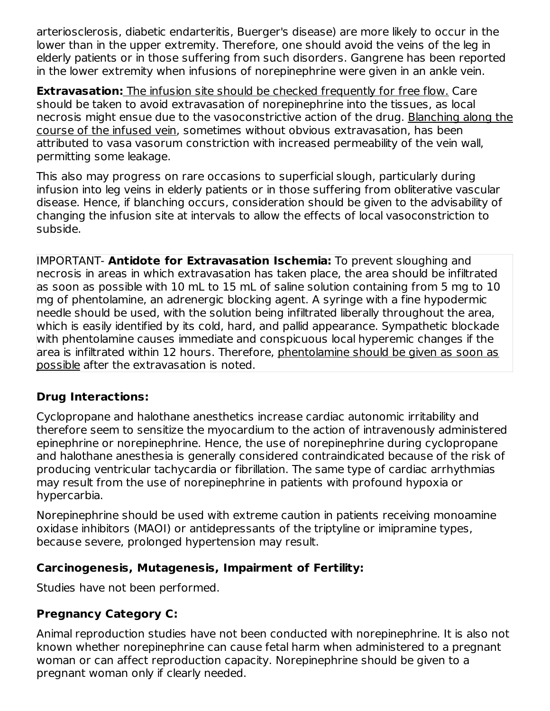arteriosclerosis, diabetic endarteritis, Buerger's disease) are more likely to occur in the lower than in the upper extremity. Therefore, one should avoid the veins of the leg in elderly patients or in those suffering from such disorders. Gangrene has been reported in the lower extremity when infusions of norepinephrine were given in an ankle vein.

**Extravasation:** The infusion site should be checked frequently for free flow. Care should be taken to avoid extravasation of norepinephrine into the tissues, as local necrosis might ensue due to the vasoconstrictive action of the drug. Blanching along the course of the infused vein, sometimes without obvious extravasation, has been attributed to vasa vasorum constriction with increased permeability of the vein wall, permitting some leakage.

This also may progress on rare occasions to superficial slough, particularly during infusion into leg veins in elderly patients or in those suffering from obliterative vascular disease. Hence, if blanching occurs, consideration should be given to the advisability of changing the infusion site at intervals to allow the effects of local vasoconstriction to subside.

IMPORTANT- **Antidote for Extravasation Ischemia:** To prevent sloughing and necrosis in areas in which extravasation has taken place, the area should be infiltrated as soon as possible with 10 mL to 15 mL of saline solution containing from 5 mg to 10 mg of phentolamine, an adrenergic blocking agent. A syringe with a fine hypodermic needle should be used, with the solution being infiltrated liberally throughout the area, which is easily identified by its cold, hard, and pallid appearance. Sympathetic blockade with phentolamine causes immediate and conspicuous local hyperemic changes if the area is infiltrated within 12 hours. Therefore, phentolamine should be given as soon as possible after the extravasation is noted.

### **Drug Interactions:**

Cyclopropane and halothane anesthetics increase cardiac autonomic irritability and therefore seem to sensitize the myocardium to the action of intravenously administered epinephrine or norepinephrine. Hence, the use of norepinephrine during cyclopropane and halothane anesthesia is generally considered contraindicated because of the risk of producing ventricular tachycardia or fibrillation. The same type of cardiac arrhythmias may result from the use of norepinephrine in patients with profound hypoxia or hypercarbia.

Norepinephrine should be used with extreme caution in patients receiving monoamine oxidase inhibitors (MAOI) or antidepressants of the triptyline or imipramine types, because severe, prolonged hypertension may result.

#### **Carcinogenesis, Mutagenesis, Impairment of Fertility:**

Studies have not been performed.

# **Pregnancy Category C:**

Animal reproduction studies have not been conducted with norepinephrine. It is also not known whether norepinephrine can cause fetal harm when administered to a pregnant woman or can affect reproduction capacity. Norepinephrine should be given to a pregnant woman only if clearly needed.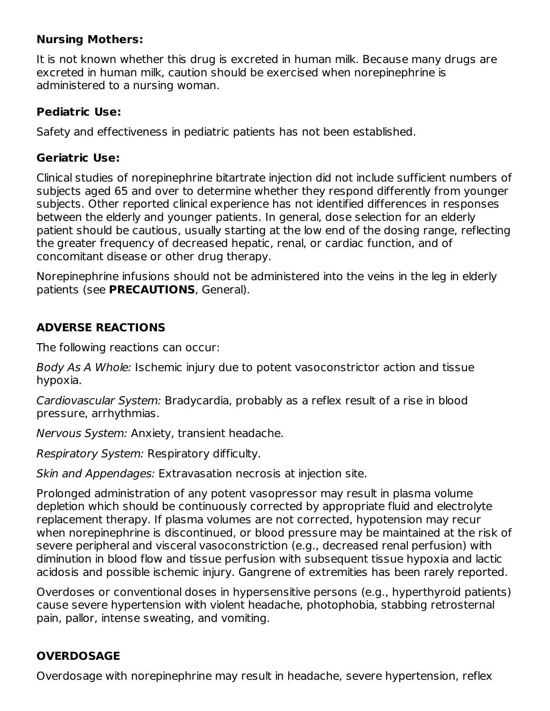### **Nursing Mothers:**

It is not known whether this drug is excreted in human milk. Because many drugs are excreted in human milk, caution should be exercised when norepinephrine is administered to a nursing woman.

#### **Pediatric Use:**

Safety and effectiveness in pediatric patients has not been established.

### **Geriatric Use:**

Clinical studies of norepinephrine bitartrate injection did not include sufficient numbers of subjects aged 65 and over to determine whether they respond differently from younger subjects. Other reported clinical experience has not identified differences in responses between the elderly and younger patients. In general, dose selection for an elderly patient should be cautious, usually starting at the low end of the dosing range, reflecting the greater frequency of decreased hepatic, renal, or cardiac function, and of concomitant disease or other drug therapy.

Norepinephrine infusions should not be administered into the veins in the leg in elderly patients (see **PRECAUTIONS**, General).

### **ADVERSE REACTIONS**

The following reactions can occur:

Body As A Whole: Ischemic injury due to potent vasoconstrictor action and tissue hypoxia.

Cardiovascular System: Bradycardia, probably as a reflex result of a rise in blood pressure, arrhythmias.

Nervous System: Anxiety, transient headache.

Respiratory System: Respiratory difficulty.

Skin and Appendages: Extravasation necrosis at injection site.

Prolonged administration of any potent vasopressor may result in plasma volume depletion which should be continuously corrected by appropriate fluid and electrolyte replacement therapy. If plasma volumes are not corrected, hypotension may recur when norepinephrine is discontinued, or blood pressure may be maintained at the risk of severe peripheral and visceral vasoconstriction (e.g., decreased renal perfusion) with diminution in blood flow and tissue perfusion with subsequent tissue hypoxia and lactic acidosis and possible ischemic injury. Gangrene of extremities has been rarely reported.

Overdoses or conventional doses in hypersensitive persons (e.g., hyperthyroid patients) cause severe hypertension with violent headache, photophobia, stabbing retrosternal pain, pallor, intense sweating, and vomiting.

# **OVERDOSAGE**

Overdosage with norepinephrine may result in headache, severe hypertension, reflex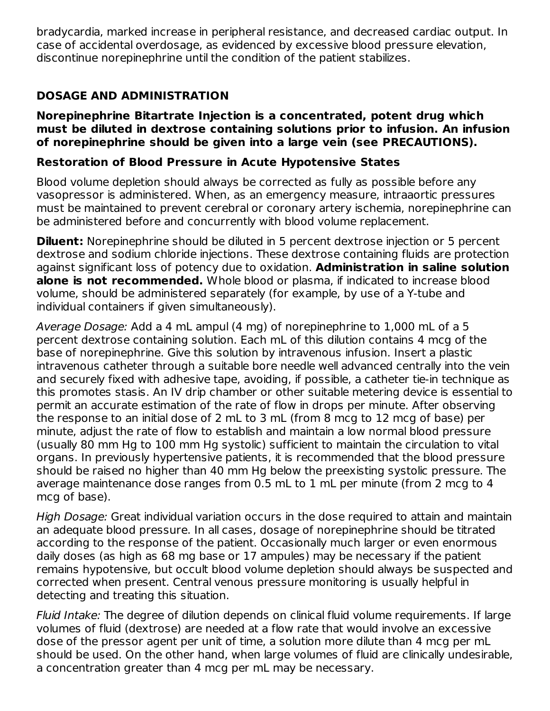bradycardia, marked increase in peripheral resistance, and decreased cardiac output. In case of accidental overdosage, as evidenced by excessive blood pressure elevation, discontinue norepinephrine until the condition of the patient stabilizes.

# **DOSAGE AND ADMINISTRATION**

#### **Norepinephrine Bitartrate Injection is a concentrated, potent drug which must be diluted in dextrose containing solutions prior to infusion. An infusion of norepinephrine should be given into a large vein (see PRECAUTIONS).**

#### **Restoration of Blood Pressure in Acute Hypotensive States**

Blood volume depletion should always be corrected as fully as possible before any vasopressor is administered. When, as an emergency measure, intraaortic pressures must be maintained to prevent cerebral or coronary artery ischemia, norepinephrine can be administered before and concurrently with blood volume replacement.

**Diluent:** Norepinephrine should be diluted in 5 percent dextrose injection or 5 percent dextrose and sodium chloride injections. These dextrose containing fluids are protection against significant loss of potency due to oxidation. **Administration in saline solution alone is not recommended.** Whole blood or plasma, if indicated to increase blood volume, should be administered separately (for example, by use of a Y-tube and individual containers if given simultaneously).

Average Dosage: Add a 4 mL ampul (4 mg) of norepinephrine to 1,000 mL of a 5 percent dextrose containing solution. Each mL of this dilution contains 4 mcg of the base of norepinephrine. Give this solution by intravenous infusion. Insert a plastic intravenous catheter through a suitable bore needle well advanced centrally into the vein and securely fixed with adhesive tape, avoiding, if possible, a catheter tie-in technique as this promotes stasis. An IV drip chamber or other suitable metering device is essential to permit an accurate estimation of the rate of flow in drops per minute. After observing the response to an initial dose of 2 mL to 3 mL (from 8 mcg to 12 mcg of base) per minute, adjust the rate of flow to establish and maintain a low normal blood pressure (usually 80 mm Hg to 100 mm Hg systolic) sufficient to maintain the circulation to vital organs. In previously hypertensive patients, it is recommended that the blood pressure should be raised no higher than 40 mm Hg below the preexisting systolic pressure. The average maintenance dose ranges from 0.5 mL to 1 mL per minute (from 2 mcg to 4 mcg of base).

High Dosage: Great individual variation occurs in the dose required to attain and maintain an adequate blood pressure. In all cases, dosage of norepinephrine should be titrated according to the response of the patient. Occasionally much larger or even enormous daily doses (as high as 68 mg base or 17 ampules) may be necessary if the patient remains hypotensive, but occult blood volume depletion should always be suspected and corrected when present. Central venous pressure monitoring is usually helpful in detecting and treating this situation.

Fluid Intake: The degree of dilution depends on clinical fluid volume requirements. If large volumes of fluid (dextrose) are needed at a flow rate that would involve an excessive dose of the pressor agent per unit of time, a solution more dilute than 4 mcg per mL should be used. On the other hand, when large volumes of fluid are clinically undesirable, a concentration greater than 4 mcg per mL may be necessary.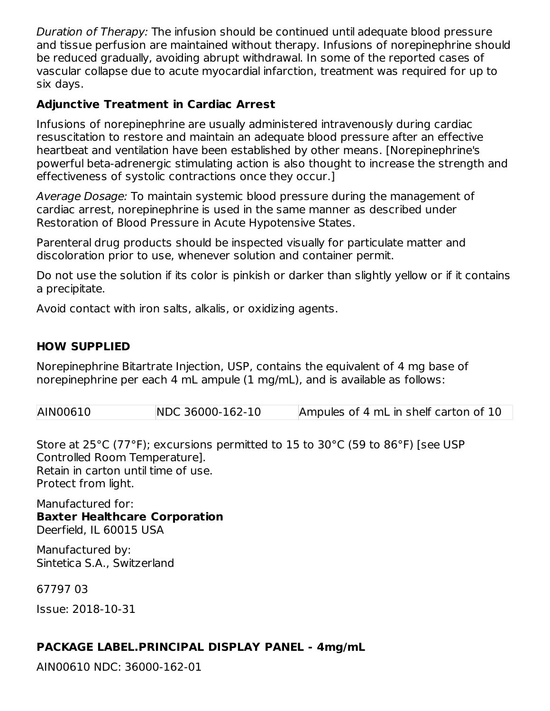Duration of Therapy: The infusion should be continued until adequate blood pressure and tissue perfusion are maintained without therapy. Infusions of norepinephrine should be reduced gradually, avoiding abrupt withdrawal. In some of the reported cases of vascular collapse due to acute myocardial infarction, treatment was required for up to six days.

### **Adjunctive Treatment in Cardiac Arrest**

Infusions of norepinephrine are usually administered intravenously during cardiac resuscitation to restore and maintain an adequate blood pressure after an effective heartbeat and ventilation have been established by other means. [Norepinephrine's powerful beta-adrenergic stimulating action is also thought to increase the strength and effectiveness of systolic contractions once they occur.]

Average Dosage: To maintain systemic blood pressure during the management of cardiac arrest, norepinephrine is used in the same manner as described under Restoration of Blood Pressure in Acute Hypotensive States.

Parenteral drug products should be inspected visually for particulate matter and discoloration prior to use, whenever solution and container permit.

Do not use the solution if its color is pinkish or darker than slightly yellow or if it contains a precipitate.

Avoid contact with iron salts, alkalis, or oxidizing agents.

### **HOW SUPPLIED**

Norepinephrine Bitartrate Injection, USP, contains the equivalent of 4 mg base of norepinephrine per each 4 mL ampule (1 mg/mL), and is available as follows:

| AIN00610 | NDC 36000-162-10 | Ampules of 4 mL in shelf carton of 10 |
|----------|------------------|---------------------------------------|
|----------|------------------|---------------------------------------|

Store at 25°C (77°F); excursions permitted to 15 to 30°C (59 to 86°F) [see USP Controlled Room Temperature]. Retain in carton until time of use. Protect from light.

Manufactured for:

**Baxter Healthcare Corporation** Deerfield, IL 60015 USA

Manufactured by: Sintetica S.A., Switzerland

67797 03

Issue: 2018-10-31

#### **PACKAGE LABEL.PRINCIPAL DISPLAY PANEL - 4mg/mL**

AIN00610 NDC: 36000-162-01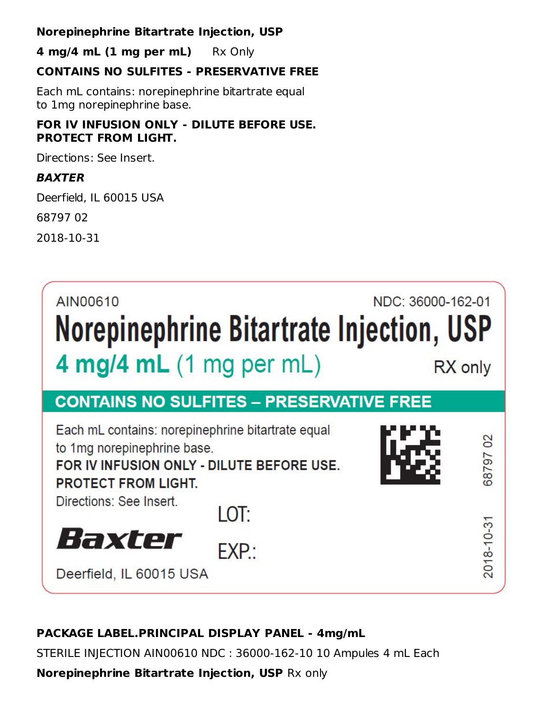#### **Norepinephrine Bitartrate Injection, USP**

**4 mg/4 mL (1 mg per mL)** Rx Only

### **CONTAINS NO SULFITES - PRESERVATIVE FREE**

Each mL contains: norepinephrine bitartrate equal to 1mg norepinephrine base.

### **FOR IV INFUSION ONLY - DILUTE BEFORE USE. PROTECT FROM LIGHT.**

Directions: See Insert.

### **BAXTER**

Deerfield, IL 60015 USA

68797 02

2018-10-31



# **PACKAGE LABEL.PRINCIPAL DISPLAY PANEL - 4mg/mL**

STERILE INJECTION AIN00610 NDC : 36000-162-10 10 Ampules 4 mL Each

**Norepinephrine Bitartrate Injection, USP** Rx only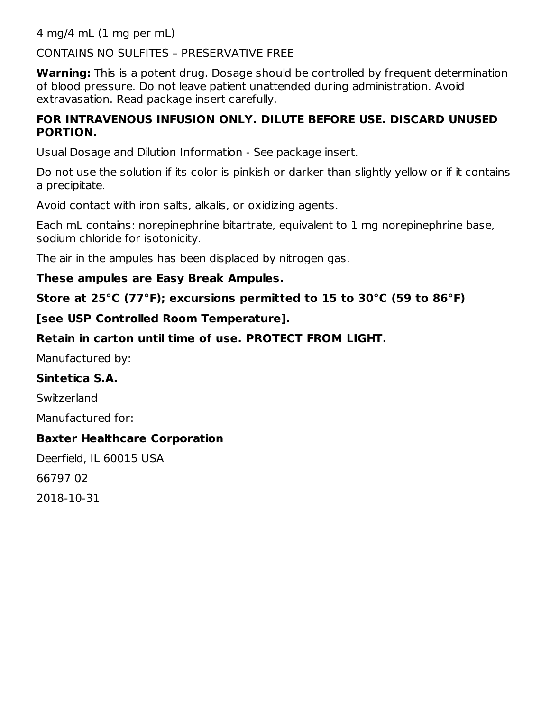4 mg/4 mL (1 mg per mL)

### CONTAINS NO SULFITES – PRESERVATIVE FREE

**Warning:** This is a potent drug. Dosage should be controlled by frequent determination of blood pressure. Do not leave patient unattended during administration. Avoid extravasation. Read package insert carefully.

#### **FOR INTRAVENOUS INFUSION ONLY. DILUTE BEFORE USE. DISCARD UNUSED PORTION.**

Usual Dosage and Dilution Information - See package insert.

Do not use the solution if its color is pinkish or darker than slightly yellow or if it contains a precipitate.

Avoid contact with iron salts, alkalis, or oxidizing agents.

Each mL contains: norepinephrine bitartrate, equivalent to 1 mg norepinephrine base, sodium chloride for isotonicity.

The air in the ampules has been displaced by nitrogen gas.

#### **These ampules are Easy Break Ampules.**

**Store at 25°C (77°F); excursions permitted to 15 to 30°C (59 to 86°F)**

### **[see USP Controlled Room Temperature].**

### **Retain in carton until time of use. PROTECT FROM LIGHT.**

Manufactured by:

#### **Sintetica S.A.**

**Switzerland** 

Manufactured for:

#### **Baxter Healthcare Corporation**

Deerfield, IL 60015 USA 66797 02 2018-10-31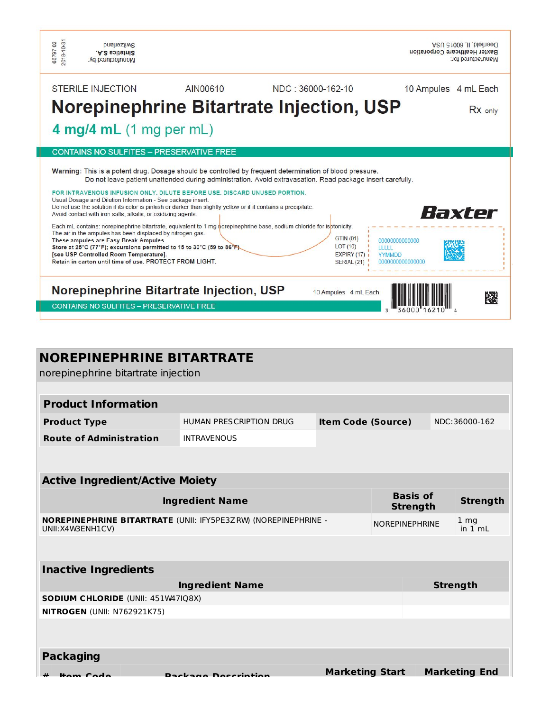| 2018-10-31<br>6679702<br><b>PUBLIOZIMS</b><br>Sintetica S.A.<br>Manufactured by:                                                                                                                                                                                                                                                        |                                                                                                                                                                                                                                                                                                                                                                                                                                                                                                                                                                                                                          |                                                           | Deerheld, IL 60015 USA<br>Baxter Healthcare Corporation<br>Manufactured for: |
|-----------------------------------------------------------------------------------------------------------------------------------------------------------------------------------------------------------------------------------------------------------------------------------------------------------------------------------------|--------------------------------------------------------------------------------------------------------------------------------------------------------------------------------------------------------------------------------------------------------------------------------------------------------------------------------------------------------------------------------------------------------------------------------------------------------------------------------------------------------------------------------------------------------------------------------------------------------------------------|-----------------------------------------------------------|------------------------------------------------------------------------------|
| <b>STERILE INJECTION</b>                                                                                                                                                                                                                                                                                                                | AIN00610                                                                                                                                                                                                                                                                                                                                                                                                                                                                                                                                                                                                                 | NDC: 36000-162-10                                         | 10 Ampules<br>4 mL Each                                                      |
|                                                                                                                                                                                                                                                                                                                                         | Norepinephrine Bitartrate Injection, USP                                                                                                                                                                                                                                                                                                                                                                                                                                                                                                                                                                                 |                                                           | RX only                                                                      |
| 4 mg/4 mL $(1 \text{ mg per mL})$                                                                                                                                                                                                                                                                                                       |                                                                                                                                                                                                                                                                                                                                                                                                                                                                                                                                                                                                                          |                                                           |                                                                              |
|                                                                                                                                                                                                                                                                                                                                         | <b>CONTAINS NO SULFITES - PRESERVATIVE FREE</b>                                                                                                                                                                                                                                                                                                                                                                                                                                                                                                                                                                          |                                                           |                                                                              |
| Usual Dosage and Dilution Information - See package insert.<br>Avoid contact with iron salts, alkalis, or oxidizing agents.<br>The air in the ampules has been displaced by nitrogen gas.<br>These ampules are Easy Break Ampules.<br>[see USP Controlled Room Temperature].<br>Retain in carton until time of use. PROTECT FROM LIGHT. | Warning: This is a potent drug. Dosage should be controlled by frequent determination of blood pressure.<br>Do not leave patient unattended during administration. Avoid extravasation. Read package insert carefully.<br>FOR INTRAVENOUS INFUSION ONLY. DILUTE BEFORE USE, DISCARD UNUSED PORTION.<br>Do not use the solution if its color is pinkish or darker than slightly yellow or if it contains a precipitate.<br>Each mL contains: norepinephrine bitartrate, equivalent to 1 mg norepinephrine base, sodium chloride for isptonicity.<br>Store at 25°C (77°F); excursions permitted to 15 to 30°C (59 to 86°F) | GTIN (01)<br>LOT(10)<br><b>EXPIRY (17)</b><br>SERIAL (21) | Baxter<br>00000000000000<br><b>HIII</b><br><b>YYMMDD</b><br>000000000000000  |
|                                                                                                                                                                                                                                                                                                                                         | Norepinephrine Bitartrate Injection, USP                                                                                                                                                                                                                                                                                                                                                                                                                                                                                                                                                                                 | 10 Ampules 4 mL Each                                      | 隧                                                                            |
| <b>CONTAINS NO SULFITES - PRESERVATIVE FREE</b>                                                                                                                                                                                                                                                                                         |                                                                                                                                                                                                                                                                                                                                                                                                                                                                                                                                                                                                                          |                                                           |                                                                              |

| <b>NOREPINEPHRINE BITARTRATE</b><br>norepinephrine bitartrate injection            |                         |                           |  |                                    |                            |
|------------------------------------------------------------------------------------|-------------------------|---------------------------|--|------------------------------------|----------------------------|
|                                                                                    |                         |                           |  |                                    |                            |
| <b>Product Information</b>                                                         |                         |                           |  |                                    |                            |
| <b>Product Type</b>                                                                | HUMAN PRESCRIPTION DRUG | <b>Item Code (Source)</b> |  |                                    | NDC:36000-162              |
| <b>Route of Administration</b>                                                     | <b>INTRAVENOUS</b>      |                           |  |                                    |                            |
|                                                                                    |                         |                           |  |                                    |                            |
|                                                                                    |                         |                           |  |                                    |                            |
| <b>Active Ingredient/Active Moiety</b>                                             |                         |                           |  |                                    |                            |
|                                                                                    | <b>Ingredient Name</b>  |                           |  | <b>Basis of</b><br><b>Strength</b> | <b>Strength</b>            |
| NOREPINEPHRINE BITARTRATE (UNII: IFY5PE3ZRW) (NOREPINEPHRINE -<br>UNII:X4W3ENH1CV) |                         |                           |  | <b>NOREPINEPHRINE</b>              | 1 <sub>mg</sub><br>in 1 mL |
|                                                                                    |                         |                           |  |                                    |                            |
| <b>Inactive Ingredients</b>                                                        |                         |                           |  |                                    |                            |
|                                                                                    | <b>Ingredient Name</b>  |                           |  |                                    | <b>Strength</b>            |
| <b>SODIUM CHLORIDE (UNII: 451W47IQ8X)</b>                                          |                         |                           |  |                                    |                            |
| <b>NITROGEN (UNII: N762921K75)</b>                                                 |                         |                           |  |                                    |                            |
|                                                                                    |                         |                           |  |                                    |                            |
| <b>Packaging</b>                                                                   |                         |                           |  |                                    |                            |
| Home Code                                                                          | Dackage Decerintion     | <b>Marketing Start</b>    |  |                                    | <b>Marketing End</b>       |